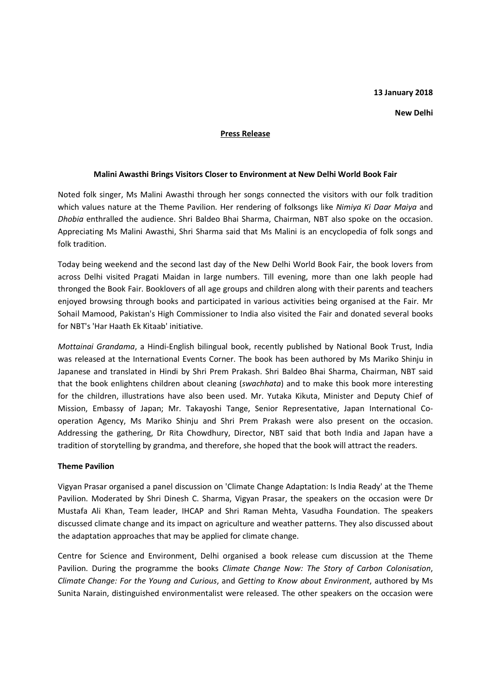## **13 January 2018**

**New Delhi** 

### **Press Release**

## **Malini Awasthi Brings Visitors Closer to Environment at New Delhi World Book Fair**

Noted folk singer, Ms Malini Awasthi through her songs connected the visitors with our folk tradition which values nature at the Theme Pavilion. Her rendering of folksongs like *Nimiya Ki Daar Maiya* and *Dhobia* enthralled the audience. Shri Baldeo Bhai Sharma, Chairman, NBT also spoke on the occasion. Appreciating Ms Malini Awasthi, Shri Sharma said that Ms Malini is an encyclopedia of folk songs and folk tradition.

Today being weekend and the second last day of the New Delhi World Book Fair, the book lovers from across Delhi visited Pragati Maidan in large numbers. Till evening, more than one lakh people had thronged the Book Fair. Booklovers of all age groups and children along with their parents and teachers enjoyed browsing through books and participated in various activities being organised at the Fair. Mr Sohail Mamood, Pakistan's High Commissioner to India also visited the Fair and donated several books for NBT's 'Har Haath Ek Kitaab' initiative.

*Mottainai Grandama*, a Hindi-English bilingual book, recently published by National Book Trust, India was released at the International Events Corner. The book has been authored by Ms Mariko Shinju in Japanese and translated in Hindi by Shri Prem Prakash. Shri Baldeo Bhai Sharma, Chairman, NBT said that the book enlightens children about cleaning (*swachhata*) and to make this book more interesting for the children, illustrations have also been used. Mr. Yutaka Kikuta, Minister and Deputy Chief of Mission, Embassy of Japan; Mr. Takayoshi Tange, Senior Representative, Japan International Cooperation Agency, Ms Mariko Shinju and Shri Prem Prakash were also present on the occasion. Addressing the gathering, Dr Rita Chowdhury, Director, NBT said that both India and Japan have a tradition of storytelling by grandma, and therefore, she hoped that the book will attract the readers.

## **Theme Pavilion**

Vigyan Prasar organised a panel discussion on 'Climate Change Adaptation: Is India Ready' at the Theme Pavilion. Moderated by Shri Dinesh C. Sharma, Vigyan Prasar, the speakers on the occasion were Dr Mustafa Ali Khan, Team leader, IHCAP and Shri Raman Mehta, Vasudha Foundation. The speakers discussed climate change and its impact on agriculture and weather patterns. They also discussed about the adaptation approaches that may be applied for climate change.

Centre for Science and Environment, Delhi organised a book release cum discussion at the Theme Pavilion. During the programme the books *Climate Change Now: The Story of Carbon Colonisation*, *Climate Change: For the Young and Curious*, and *Getting to Know about Environment*, authored by Ms Sunita Narain, distinguished environmentalist were released. The other speakers on the occasion were